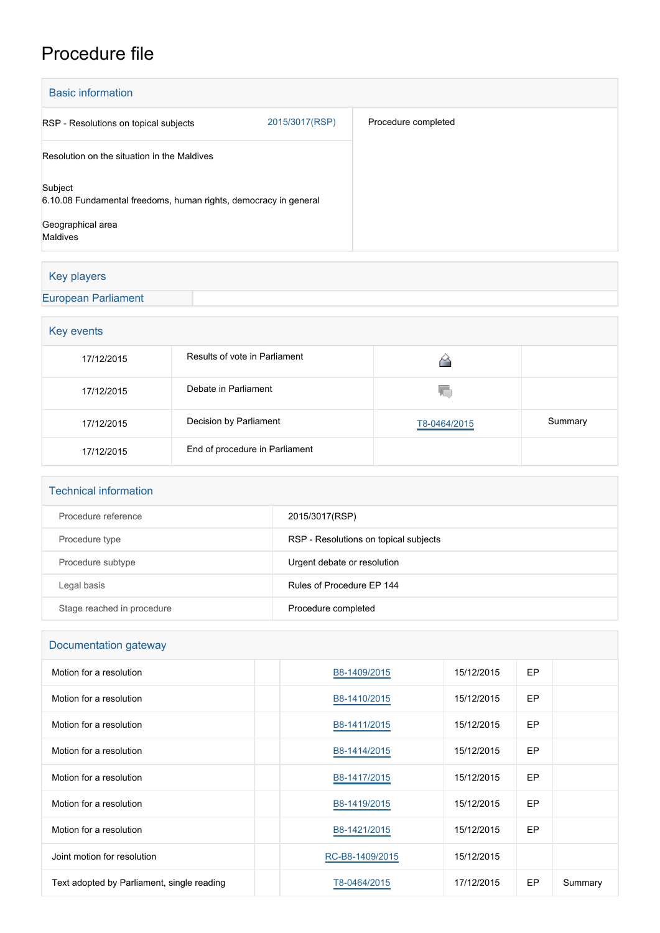## Procedure file

| <b>Basic information</b>                                                    |                |                     |
|-----------------------------------------------------------------------------|----------------|---------------------|
| RSP - Resolutions on topical subjects                                       | 2015/3017(RSP) | Procedure completed |
| Resolution on the situation in the Maldives                                 |                |                     |
| Subject<br>6.10.08 Fundamental freedoms, human rights, democracy in general |                |                     |
| Geographical area<br><b>Maldives</b>                                        |                |                     |

## Key players

## [European Parliament](http://www.europarl.europa.eu/)

| Key events |                                |              |         |  |  |
|------------|--------------------------------|--------------|---------|--|--|
| 17/12/2015 | Results of vote in Parliament  |              |         |  |  |
| 17/12/2015 | Debate in Parliament           | YΟ           |         |  |  |
| 17/12/2015 | Decision by Parliament         | T8-0464/2015 | Summary |  |  |
| 17/12/2015 | End of procedure in Parliament |              |         |  |  |

| <b>Technical information</b> |                                       |
|------------------------------|---------------------------------------|
| Procedure reference          | 2015/3017(RSP)                        |
| Procedure type               | RSP - Resolutions on topical subjects |
| Procedure subtype            | Urgent debate or resolution           |
| Legal basis                  | Rules of Procedure FP 144             |
| Stage reached in procedure   | Procedure completed                   |

| Documentation gateway                      |                 |            |     |         |  |  |
|--------------------------------------------|-----------------|------------|-----|---------|--|--|
| Motion for a resolution                    | B8-1409/2015    | 15/12/2015 | EP  |         |  |  |
| Motion for a resolution                    | B8-1410/2015    | 15/12/2015 | EP. |         |  |  |
| Motion for a resolution                    | B8-1411/2015    | 15/12/2015 | EP  |         |  |  |
| Motion for a resolution                    | B8-1414/2015    | 15/12/2015 | EP  |         |  |  |
| Motion for a resolution                    | B8-1417/2015    | 15/12/2015 | EP  |         |  |  |
| Motion for a resolution                    | B8-1419/2015    | 15/12/2015 | EP. |         |  |  |
| Motion for a resolution                    | B8-1421/2015    | 15/12/2015 | EP  |         |  |  |
| Joint motion for resolution                | RC-B8-1409/2015 | 15/12/2015 |     |         |  |  |
| Text adopted by Parliament, single reading | T8-0464/2015    | 17/12/2015 | EP  | Summary |  |  |